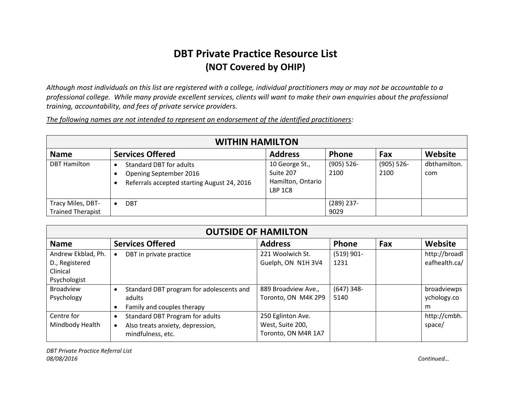## **DBT Private Practice Resource List (NOT Covered by OHIP)**

*Although most individuals on this list are registered with a college, individual practitioners may or may not be accountable to a professional college. While many provide excellent services, clients will want to make their own enquiries about the professional training, accountability, and fees of private service providers.* 

*The following names are not intended to represent an endorsement of the identified practitioners:*

| <b>WITHIN HAMILTON</b>                        |                                                                                                         |                                                             |                       |                       |                     |  |  |  |
|-----------------------------------------------|---------------------------------------------------------------------------------------------------------|-------------------------------------------------------------|-----------------------|-----------------------|---------------------|--|--|--|
| <b>Name</b>                                   | <b>Services Offered</b>                                                                                 | <b>Address</b>                                              | <b>Phone</b>          | Fax                   | Website             |  |  |  |
| <b>DBT Hamilton</b>                           | <b>Standard DBT for adults</b><br>Opening September 2016<br>Referrals accepted starting August 24, 2016 | 10 George St.,<br>Suite 207<br>Hamilton, Ontario<br>L8P 1C8 | $(905) 526 -$<br>2100 | $(905) 526 -$<br>2100 | dbthamilton.<br>com |  |  |  |
| Tracy Miles, DBT-<br><b>Trained Therapist</b> | <b>DBT</b>                                                                                              |                                                             | $(289)$ 237-<br>9029  |                       |                     |  |  |  |

| <b>OUTSIDE OF HAMILTON</b> |                                               |                     |              |     |               |  |  |
|----------------------------|-----------------------------------------------|---------------------|--------------|-----|---------------|--|--|
| <b>Name</b>                | <b>Services Offered</b>                       | <b>Address</b>      | Phone        | Fax | Website       |  |  |
| Andrew Ekblad, Ph.         | DBT in private practice<br>$\bullet$          | 221 Woolwich St.    | $(519)$ 901- |     | http://broadl |  |  |
| D., Registered             |                                               | Guelph, ON N1H 3V4  | 1231         |     | eafhealth.ca/ |  |  |
| Clinical                   |                                               |                     |              |     |               |  |  |
| Psychologist               |                                               |                     |              |     |               |  |  |
| <b>Broadview</b>           | Standard DBT program for adolescents and      | 889 Broadview Ave., | $(647)$ 348- |     | broadviewps   |  |  |
| Psychology                 | adults                                        | Toronto, ON M4K 2P9 | 5140         |     | ychology.co   |  |  |
|                            | Family and couples therapy<br>$\bullet$       |                     |              |     | m             |  |  |
| Centre for                 | Standard DBT Program for adults<br>$\bullet$  | 250 Eglinton Ave.   |              |     | http://cmbh.  |  |  |
| Mindbody Health            | Also treats anxiety, depression,<br>$\bullet$ | West, Suite 200,    |              |     | space/        |  |  |
|                            | mindfulness, etc.                             | Toronto, ON M4R 1A7 |              |     |               |  |  |